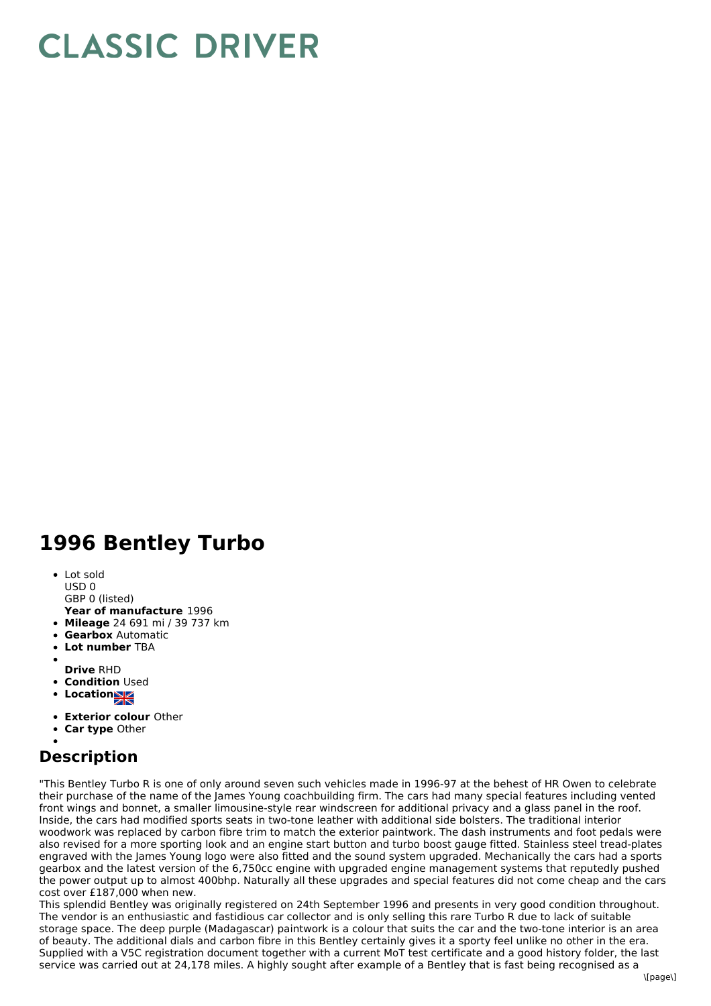## **CLASSIC DRIVER**

## **1996 Bentley Turbo**

- Lot sold
- USD 0
- **Year of manufacture** 1996 GBP 0 (listed)
- **Mileage** 24 691 mi / 39 737 km
- **Gearbox** Automatic
- $\bullet$ **Lot number** TBA
- 
- **Drive** RHD
- **Condition Used**
- **Locations**
- 
- **Exterior colour** Other
- **Car type** Other

## **Description**

"This Bentley Turbo R is one of only around seven such vehicles made in 1996-97 at the behest of HR Owen to celebrate their purchase of the name of the James Young coachbuilding firm. The cars had many special features including vented front wings and bonnet, a smaller limousine-style rear windscreen for additional privacy and a glass panel in the roof. Inside, the cars had modified sports seats in two-tone leather with additional side bolsters. The traditional interior woodwork was replaced by carbon fibre trim to match the exterior paintwork. The dash instruments and foot pedals were also revised for a more sporting look and an engine start button and turbo boost gauge fitted. Stainless steel tread-plates engraved with the James Young logo were also fitted and the sound system upgraded. Mechanically the cars had a sports gearbox and the latest version of the 6,750cc engine with upgraded engine management systems that reputedly pushed the power output up to almost 400bhp. Naturally all these upgrades and special features did not come cheap and the cars cost over £187,000 when new.

This splendid Bentley was originally registered on 24th September 1996 and presents in very good condition throughout. The vendor is an enthusiastic and fastidious car collector and is only selling this rare Turbo R due to lack of suitable storage space. The deep purple (Madagascar) paintwork is a colour that suits the car and the two-tone interior is an area of beauty. The additional dials and carbon fibre in this Bentley certainly gives it a sporty feel unlike no other in the era. Supplied with a V5C registration document together with a current MoT test certificate and a good history folder, the last service was carried out at 24,178 miles. A highly sought after example of a Bentley that is fast being recognised as a